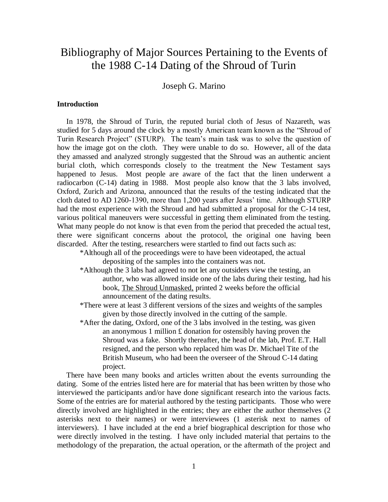## Bibliography of Major Sources Pertaining to the Events of the 1988 C-14 Dating of the Shroud of Turin

Joseph G. Marino

#### **Introduction**

 In 1978, the Shroud of Turin, the reputed burial cloth of Jesus of Nazareth, was studied for 5 days around the clock by a mostly American team known as the "Shroud of Turin Research Project" (STURP). The team's main task was to solve the question of how the image got on the cloth. They were unable to do so. However, all of the data they amassed and analyzed strongly suggested that the Shroud was an authentic ancient burial cloth, which corresponds closely to the treatment the New Testament says happened to Jesus. Most people are aware of the fact that the linen underwent a radiocarbon (C-14) dating in 1988. Most people also know that the 3 labs involved, Oxford, Zurich and Arizona, announced that the results of the testing indicated that the cloth dated to AD 1260-1390, more than 1,200 years after Jesus' time. Although STURP had the most experience with the Shroud and had submitted a proposal for the C-14 test, various political maneuvers were successful in getting them eliminated from the testing. What many people do not know is that even from the period that preceded the actual test, there were significant concerns about the protocol, the original one having been discarded. After the testing, researchers were startled to find out facts such as:

\*Although all of the proceedings were to have been videotaped, the actual depositing of the samples into the containers was not.

- \*Although the 3 labs had agreed to not let any outsiders view the testing, an author, who was allowed inside one of the labs during their testing, had his book, The Shroud Unmasked, printed 2 weeks before the official announcement of the dating results.
- \*There were at least 3 different versions of the sizes and weights of the samples given by those directly involved in the cutting of the sample.
- \*After the dating, Oxford, one of the 3 labs involved in the testing, was given an anonymous 1 million £ donation for ostensibly having proven the Shroud was a fake. Shortly thereafter, the head of the lab, Prof. E.T. Hall resigned, and the person who replaced him was Dr. Michael Tite of the British Museum, who had been the overseer of the Shroud C-14 dating project.

 There have been many books and articles written about the events surrounding the dating. Some of the entries listed here are for material that has been written by those who interviewed the participants and/or have done significant research into the various facts. Some of the entries are for material authored by the testing participants. Those who were directly involved are highlighted in the entries; they are either the author themselves (2 asterisks next to their names) or were interviewees (1 asterisk next to names of interviewers). I have included at the end a brief biographical description for those who were directly involved in the testing. I have only included material that pertains to the methodology of the preparation, the actual operation, or the aftermath of the project and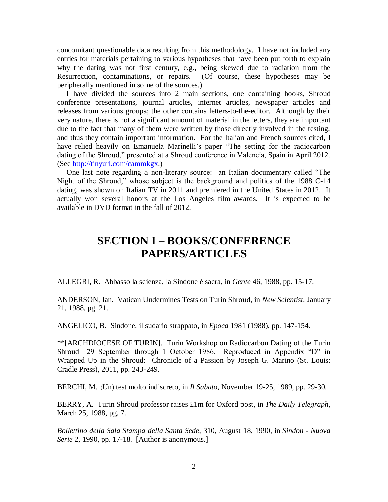concomitant questionable data resulting from this methodology. I have not included any entries for materials pertaining to various hypotheses that have been put forth to explain why the dating was not first century, e.g., being skewed due to radiation from the Resurrection, contaminations, or repairs. (Of course, these hypotheses may be peripherally mentioned in some of the sources.)

 I have divided the sources into 2 main sections, one containing books, Shroud conference presentations, journal articles, internet articles, newspaper articles and releases from various groups; the other contains letters-to-the-editor. Although by their very nature, there is not a significant amount of material in the letters, they are important due to the fact that many of them were written by those directly involved in the testing, and thus they contain important information. For the Italian and French sources cited, I have relied heavily on Emanuela Marinelli's paper "The setting for the radiocarbon dating of the Shroud," presented at a Shroud conference in Valencia, Spain in April 2012. (See [http://tinyurl.com/cammkgx.](http://tinyurl.com/cammkgx))

 One last note regarding a non-literary source: an Italian documentary called "The Night of the Shroud," whose subject is the background and politics of the 1988 C-14 dating, was shown on Italian TV in 2011 and premiered in the United States in 2012. It actually won several honors at the Los Angeles film awards. It is expected to be available in DVD format in the fall of 2012.

# **SECTION I – BOOKS/CONFERENCE PAPERS/ARTICLES**

ALLEGRI, R. Abbasso la scienza, la Sindone è sacra, in *Gente* 46, 1988, pp. 15-17.

ANDERSON, Ian. Vatican Undermines Tests on Turin Shroud, in *New Scientist,* January 21, 1988, pg. 21.

ANGELICO, B. Sindone, il sudario strappato, in *Epoca* 1981 (1988), pp. 147-154.

\*\*[ARCHDIOCESE OF TURIN]. Turin Workshop on Radiocarbon Dating of the Turin Shroud—29 September through 1 October 1986. Reproduced in Appendix "D" in Wrapped Up in the Shroud: Chronicle of a Passion by Joseph G. Marino (St. Louis: Cradle Press), 2011, pp. 243-249.

BERCHI, M. (Un) test molto indiscreto, in *Il Sabato*, November 19-25, 1989, pp. 29-30.

BERRY, A. Turin Shroud professor raises £1m for Oxford post, in *The Daily Telegraph*, March 25, 1988, pg. 7.

*Bollettino della Sala Stampa della Santa Sede*, 310, August 18, 1990, in *Sindon - Nuova Serie* 2, 1990, pp. 17-18. [Author is anonymous.]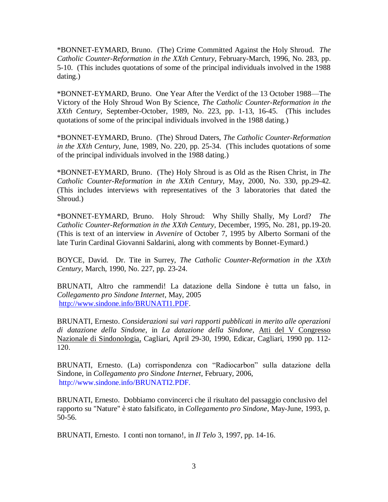\*BONNET-EYMARD, Bruno. (The) Crime Committed Against the Holy Shroud. *The Catholic Counter-Reformation in the XXth Century,* February-March, 1996, No. 283, pp. 5-10. (This includes quotations of some of the principal individuals involved in the 1988 dating.)

\*BONNET-EYMARD, Bruno. One Year After the Verdict of the 13 October 1988—The Victory of the Holy Shroud Won By Science, *The Catholic Counter-Reformation in the XXth Century,* September-October, 1989, No. 223, pp. 1-13, 16-45. (This includes quotations of some of the principal individuals involved in the 1988 dating.)

\*BONNET-EYMARD, Bruno. (The) Shroud Daters, *The Catholic Counter-Reformation in the XXth Century,* June, 1989, No. 220, pp. 25-34. (This includes quotations of some of the principal individuals involved in the 1988 dating.)

\*BONNET-EYMARD, Bruno. (The) Holy Shroud is as Old as the Risen Christ, in *The Catholic Counter-Reformation in the XXth Century,* May, 2000, No. 330, pp.29-42. (This includes interviews with representatives of the 3 laboratories that dated the Shroud.)

\*BONNET-EYMARD, Bruno. Holy Shroud: Why Shilly Shally, My Lord? *The Catholic Counter-Reformation in the XXth Century, December, 1995, No. 281, pp.19-20.* (This is text of an interview in *Avvenire* of October 7, 1995 by Alberto Sormani of the late Turin Cardinal Giovanni Saldarini, along with comments by Bonnet-Eymard.)

BOYCE, David. Dr. Tite in Surrey, *The Catholic Counter-Reformation in the XXth Century,* March, 1990, No. 227, pp. 23-24.

BRUNATI, Altro che rammendi! La datazione della Sindone è tutta un falso, in *Collegamento pro Sindone Internet*, May, 2005 [http://www.sindone.info/BRUNATI1.PDF.](http://www.sindone.info/BRUNATI1.PDF)

BRUNATI, Ernesto. *Considerazioni sui vari rapporti pubblicati in merito alle operazioni di datazione della Sindone*, in *La datazione della Sindone*, Atti del V Congresso Nazionale di Sindonologia, Cagliari, April 29-30, 1990, Edicar, Cagliari, 1990 pp. 112- 120.

BRUNATI, Ernesto. (La) corrispondenza con "Radiocarbon" sulla datazione della Sindone, in *Collegamento pro Sindone Internet*, February, 2006, http://www.sindone.info/BRUNATI2.PDF.

BRUNATI, Ernesto. Dobbiamo convincerci che il risultato del passaggio conclusivo del rapporto su "Nature" è stato falsificato, in *Collegamento pro Sindone*, May-June, 1993, p. 50-56.

BRUNATI, Ernesto. I conti non tornano!, in *Il Telo* 3, 1997, pp. 14-16.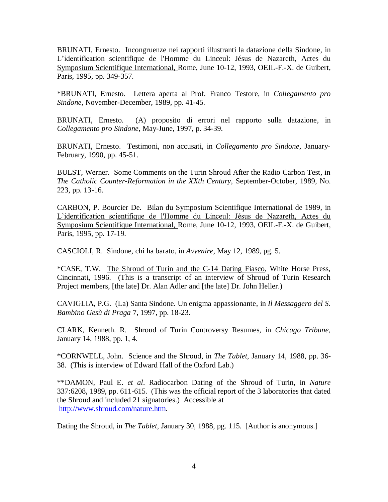BRUNATI, Ernesto. Incongruenze nei rapporti illustranti la datazione della Sindone, in L'identification scientifique de l'Homme du Linceul: Jésus de Nazareth, Actes du Symposium Scientifique International, Rome, June 10-12, 1993, OEIL-F.-X. de Guibert, Paris, 1995, pp. 349-357.

\*BRUNATI, Ernesto. Lettera aperta al Prof. Franco Testore, in *Collegamento pro Sindone*, November-December, 1989, pp. 41-45.

BRUNATI, Ernesto. (A) proposito di errori nel rapporto sulla datazione, in *Collegamento pro Sindone*, May-June, 1997, p. 34-39.

BRUNATI, Ernesto. Testimoni, non accusati, in *Collegamento pro Sindone*, January-February, 1990, pp. 45-51.

BULST, Werner. Some Comments on the Turin Shroud After the Radio Carbon Test, in *The Catholic Counter-Reformation in the XXth Century,* September-October, 1989, No. 223, pp. 13-16.

CARBON, P. Bourcier De. Bilan du Symposium Scientifique International de 1989, in L'identification scientifique de l'Homme du Linceul: Jésus de Nazareth, Actes du Symposium Scientifique International, Rome, June 10-12, 1993, OEIL-F.-X. de Guibert, Paris, 1995, pp. 17-19.

CASCIOLI, R. Sindone, chi ha barato, in *Avvenire*, May 12, 1989, pg. 5.

\*CASE, T.W. The Shroud of Turin and the C-14 Dating Fiasco, White Horse Press, Cincinnati, 1996. (This is a transcript of an interview of Shroud of Turin Research Project members, [the late] Dr. Alan Adler and [the late] Dr. John Heller.)

CAVIGLIA, P.G. (La) Santa Sindone. Un enigma appassionante, in *Il Messaggero del S. Bambino Gesù di Praga* 7, 1997, pp. 18-23.

CLARK, Kenneth. R. Shroud of Turin Controversy Resumes, in *Chicago Tribune,* January 14, 1988, pp. 1, 4.

\*CORNWELL, John. Science and the Shroud, in *The Tablet*, January 14, 1988, pp. 36- 38. (This is interview of Edward Hall of the Oxford Lab.)

\*\*DAMON, Paul E. *et al*. Radiocarbon Dating of the Shroud of Turin, in *Nature*  337:6208, 1989, pp. 611-615. (This was the official report of the 3 laboratories that dated the Shroud and included 21 signatories.) Accessible at [http://www.shroud.com/nature.htm.](http://www.shroud.com/nature.htm)

Dating the Shroud, in *The Tablet,* January 30, 1988, pg. 115. [Author is anonymous.]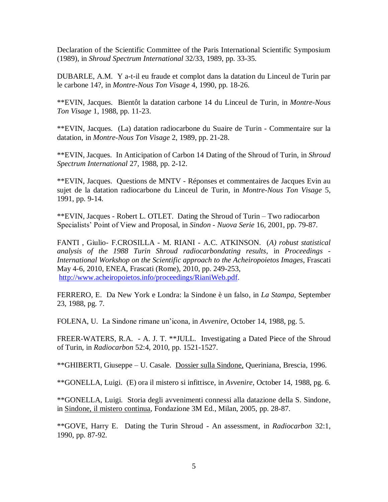Declaration of the Scientific Committee of the Paris International Scientific Symposium (1989), in *Shroud Spectrum International* 32/33, 1989, pp. 33-35.

DUBARLE, A.M. Y a-t-il eu fraude et complot dans la datation du Linceul de Turin par le carbone 14?, in *Montre-Nous Ton Visage* 4, 1990, pp. 18-26.

\*\*EVIN, Jacques. Bientôt la datation carbone 14 du Linceul de Turin, in *Montre-Nous Ton Visage* 1, 1988, pp. 11-23.

\*\*EVIN, Jacques. (La) datation radiocarbone du Suaire de Turin - Commentaire sur la datation, in *Montre-Nous Ton Visage* 2, 1989, pp. 21-28.

\*\*EVIN, Jacques. In Anticipation of Carbon 14 Dating of the Shroud of Turin, in *Shroud Spectrum International* 27, 1988, pp. 2-12.

\*\*EVIN, Jacques. Questions de MNTV - Réponses et commentaires de Jacques Evin au sujet de la datation radiocarbone du Linceul de Turin, in *Montre-Nous Ton Visage* 5, 1991, pp. 9-14.

\*\*EVIN, Jacques - Robert L. OTLET. Dating the Shroud of Turin *–* Two radiocarbon Specialists' Point of View and Proposal, in *Sindon - Nuova Serie* 16, 2001, pp. 79-87.

FANTI , Giulio- F.CROSILLA - M. RIANI - A.C. ATKINSON. (*A) robust statistical analysis of the 1988 Turin Shroud radiocarbondating results*, in *Proceedings - International Workshop on the Scientific approach to the Acheiropoietos Images*, Frascati May 4-6, 2010, ENEA, Frascati (Rome), 2010, pp. 249-253, [http://www.acheiropoietos.info/proceedings/RianiWeb.pdf.](http://www.acheiropoietos.info/proceedings/RianiWeb.pdf)

FERRERO, E. Da New York e Londra: la Sindone è un falso, in *La Stampa*, September 23, 1988, pg. 7.

FOLENA, U. La Sindone rimane un'icona, in *Avvenire*, October 14, 1988, pg. 5.

FREER-WATERS, R.A. - A. J. T. \*\*JULL. Investigating a Dated Piece of the Shroud of Turin, in *Radiocarbon* 52:4, 2010, pp. 1521-1527.

\*\*GHIBERTI, Giuseppe – U. Casale. Dossier sulla Sindone, Queriniana, Brescia, 1996.

\*\*GONELLA, Luigi. (E) ora il mistero si infittisce, in *Avvenire*, October 14, 1988, pg. 6.

\*\*GONELLA, Luigi. Storia degli avvenimenti connessi alla datazione della S. Sindone, in Sindone, il mistero continua, Fondazione 3M Ed., Milan, 2005, pp. 28-87.

\*\*GOVE, Harry E. Dating the Turin Shroud - An assessment, in *Radiocarbon* 32:1, 1990, pp. 87-92.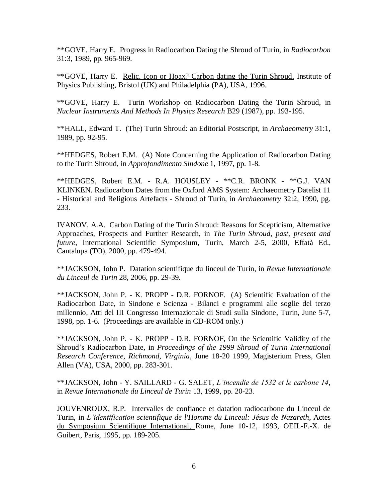\*\*GOVE, Harry E. Progress in Radiocarbon Dating the Shroud of Turin, in *Radiocarbon*  31:3, 1989, pp. 965-969.

\*\*GOVE, Harry E. Relic, Icon or Hoax? Carbon dating the Turin Shroud, Institute of Physics Publishing, Bristol (UK) and Philadelphia (PA), USA, 1996.

\*\*GOVE, Harry E. Turin Workshop on Radiocarbon Dating the Turin Shroud, in *Nuclear Instruments And Methods In Physics Research* B29 (1987), pp. 193-195.

\*\*HALL, Edward T. (The) Turin Shroud: an Editorial Postscript, in *Archaeometry* 31:1, 1989, pp. 92-95.

\*\*HEDGES, Robert E.M. (A) Note Concerning the Application of Radiocarbon Dating to the Turin Shroud, in *Approfondimento Sindone* 1, 1997, pp. 1-8.

\*\*HEDGES, Robert E.M. - R.A. HOUSLEY - \*\*C.R. BRONK - \*\*G.J. VAN KLINKEN. Radiocarbon Dates from the Oxford AMS System: Archaeometry Datelist 11 - Historical and Religious Artefacts - Shroud of Turin, in *Archaeometry* 32:2, 1990, pg. 233.

IVANOV, A.A. Carbon Dating of the Turin Shroud: Reasons for Scepticism, Alternative Approaches, Prospects and Further Research, in *The Turin Shroud, past, present and future*, International Scientific Symposium, Turin, March 2-5, 2000, Effatà Ed., Cantalupa (TO), 2000, pp. 479-494.

\*\*JACKSON, John P. Datation scientifique du linceul de Turin, in *Revue Internationale du Linceul de Turin* 28, 2006, pp. 29-39.

\*\*JACKSON, John P. - K. PROPP - D.R. FORNOF. (A) Scientific Evaluation of the Radiocarbon Date, in Sindone e Scienza - Bilanci e programmi alle soglie del terzo millennio, Atti del III Congresso Internazionale di Studi sulla Sindone, Turin, June 5-7, 1998, pp. 1-6. (Proceedings are available in CD-ROM only.)

\*\*JACKSON, John P. - K. PROPP - D.R. FORNOF, On the Scientific Validity of the Shroud's Radiocarbon Date, in *Proceedings of the 1999 Shroud of Turin International Research Conference, Richmond, Virginia*, June 18-20 1999, Magisterium Press, Glen Allen (VA), USA, 2000, pp. 283-301.

\*\*JACKSON, John - Y. SAILLARD - G. SALET, *L'incendie de 1532 et le carbone 14*, in *Revue Internationale du Linceul de Turin* 13, 1999, pp. 20-23.

JOUVENROUX, R.P. Intervalles de confiance et datation radiocarbone du Linceul de Turin, in *L'identification scientifique de l'Homme du Linceul: Jésus de Nazareth*, Actes du Symposium Scientifique International, Rome, June 10-12, 1993, OEIL-F.-X. de Guibert, Paris, 1995, pp. 189-205.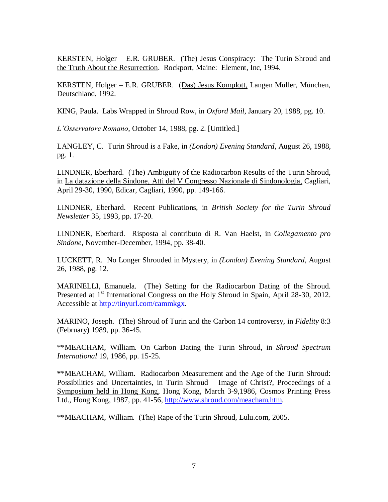KERSTEN, Holger – E.R. GRUBER. (The) Jesus Conspiracy: The Turin Shroud and the Truth About the Resurrection. Rockport, Maine: Element, Inc, 1994.

KERSTEN, Holger – E.R. GRUBER. (Das) Jesus Komplott, Langen Müller, München, Deutschland, 1992.

KING, Paula. Labs Wrapped in Shroud Row, in *Oxford Mail,* January 20, 1988, pg. 10.

*L'Osservatore Romano*, October 14, 1988, pg. 2. [Untitled.]

LANGLEY, C. Turin Shroud is a Fake, in *(London) Evening Standard*, August 26, 1988, pg. 1.

LINDNER, Eberhard. (The) Ambiguity of the Radiocarbon Results of the Turin Shroud, in La datazione della Sindone, Atti del V Congresso Nazionale di Sindonologia, Cagliari, April 29-30, 1990, Edicar, Cagliari, 1990, pp. 149-166.

LINDNER, Eberhard. Recent Publications, in *British Society for the Turin Shroud Newsletter* 35, 1993, pp. 17-20.

LINDNER, Eberhard. Risposta al contributo di R. Van Haelst, in *Collegamento pro Sindone*, November-December, 1994, pp. 38-40.

LUCKETT, R. No Longer Shrouded in Mystery, in *(London) Evening Standard*, August 26, 1988, pg. 12.

MARINELLI, Emanuela. (The) Setting for the Radiocarbon Dating of the Shroud. Presented at 1<sup>st</sup> International Congress on the Holy Shroud in Spain, April 28-30, 2012. Accessible at [http://tinyurl.com/cammkgx.](http://tinyurl.com/cammkgx)

MARINO, Joseph. (The) Shroud of Turin and the Carbon 14 controversy, in *Fidelity* 8:3 (February) 1989, pp. 36-45.

\*\*MEACHAM, William. On Carbon Dating the Turin Shroud, in *Shroud Spectrum International* 19, 1986, pp. 15-25.

**\***\*MEACHAM, William. Radiocarbon Measurement and the Age of the Turin Shroud: Possibilities and Uncertainties, in Turin Shroud – Image of Christ?, Proceedings of a Symposium held in Hong Kong, Hong Kong, March 3-9,1986, Cosmos Printing Press Ltd., Hong Kong, 1987, pp. 41-56, [http://www.shroud.com/meacham.htm.](http://www.shroud.com/meacham.htm)

\*\*MEACHAM, William. (The) Rape of the Turin Shroud, Lulu.com, 2005.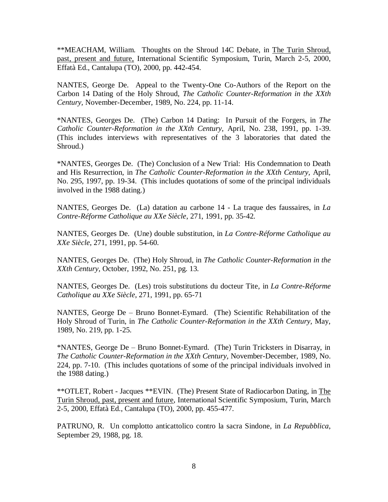\*\*MEACHAM, William. Thoughts on the Shroud 14C Debate, in The Turin Shroud, past, present and future, International Scientific Symposium, Turin, March 2-5, 2000, Effatà Ed., Cantalupa (TO), 2000, pp. 442-454.

NANTES, George De. Appeal to the Twenty-One Co-Authors of the Report on the Carbon 14 Dating of the Holy Shroud, *The Catholic Counter-Reformation in the XXth Century,* November-December, 1989, No. 224, pp. 11-14.

\*NANTES, Georges De. (The) Carbon 14 Dating: In Pursuit of the Forgers, in *The Catholic Counter-Reformation in the XXth Century,* April, No. 238, 1991, pp. 1-39. (This includes interviews with representatives of the 3 laboratories that dated the Shroud.)

\*NANTES, Georges De. (The) Conclusion of a New Trial: His Condemnation to Death and His Resurrection, in *The Catholic Counter-Reformation in the XXth Century,* April, No. 295, 1997, pp. 19-34. (This includes quotations of some of the principal individuals involved in the 1988 dating.)

NANTES, Georges De. (La) datation au carbone 14 - La traque des faussaires, in *La Contre-Réforme Catholique au XXe Siècle*, 271, 1991, pp. 35-42.

NANTES, Georges De. (Une) double substitution, in *La Contre-Réforme Catholique au XXe Siècle*, 271, 1991, pp. 54-60.

NANTES, Georges De. (The) Holy Shroud, in *The Catholic Counter-Reformation in the XXth Century,* October, 1992, No. 251, pg. 13.

NANTES, Georges De. (Les) trois substitutions du docteur Tite, in *La Contre-Réforme Catholique au XXe Siècle*, 271, 1991, pp. 65-71

NANTES, George De – Bruno Bonnet-Eymard. (The) Scientific Rehabilitation of the Holy Shroud of Turin, in *The Catholic Counter-Reformation in the XXth Century,* May, 1989, No. 219, pp. 1-25.

\*NANTES, George De – Bruno Bonnet-Eymard. (The) Turin Tricksters in Disarray, in *The Catholic Counter-Reformation in the XXth Century,* November-December, 1989, No. 224, pp. 7-10. (This includes quotations of some of the principal individuals involved in the 1988 dating.)

\*\*OTLET, Robert - Jacques \*\*EVIN. (The) Present State of Radiocarbon Dating, in The Turin Shroud, past, present and future, International Scientific Symposium, Turin, March 2-5, 2000, Effatà Ed., Cantalupa (TO), 2000, pp. 455-477.

PATRUNO, R. Un complotto anticattolico contro la sacra Sindone, in *La Repubblica*, September 29, 1988, pg. 18.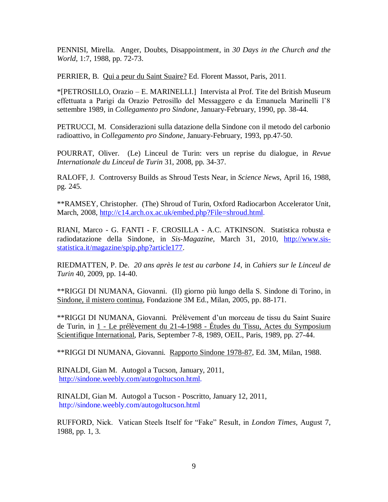PENNISI, Mirella. Anger, Doubts, Disappointment, in *30 Days in the Church and the World,* 1:7, 1988, pp. 72-73.

PERRIER, B. Qui a peur du Saint Suaire? Ed. Florent Massot, Paris, 2011.

\*[PETROSILLO, Orazio – E. MARINELLI.] Intervista al Prof. Tite del British Museum effettuata a Parigi da Orazio Petrosillo del Messaggero e da Emanuela Marinelli l'8 settembre 1989, in *Collegamento pro Sindone*, January-February, 1990, pp. 38-44.

PETRUCCI, M. Considerazioni sulla datazione della Sindone con il metodo del carbonio radioattivo, in *Collegamento pro Sindone*, January-February, 1993, pp.47-50.

POURRAT, Oliver. (Le) Linceul de Turin: vers un reprise du dialogue, in *Revue Internationale du Linceul de Turin* 31, 2008, pp. 34-37.

RALOFF, J. Controversy Builds as Shroud Tests Near, in *Science News,* April 16, 1988, pg. 245.

\*\*RAMSEY*,* Christopher*.* (The) Shroud of Turin, Oxford Radiocarbon Accelerator Unit, March, 2008, [http://c14.arch.ox.ac.uk/embed.php?File=shroud.html.](http://c14.arch.ox.ac.uk/embed.php?File=shroud.html)

RIANI, Marco - G. FANTI - F. CROSILLA - A.C. ATKINSON. Statistica robusta e radiodatazione della Sindone, in *Sis-Magazine*, March 31, 2010, [http://www.sis](http://www.sis-statistica.it/magazine/spip.php?article177)[statistica.it/magazine/spip.php?article177.](http://www.sis-statistica.it/magazine/spip.php?article177)

RIEDMATTEN, P. De. *20 ans après le test au carbone 14*, in *Cahiers sur le Linceul de Turin* 40, 2009, pp. 14-40.

\*\*RIGGI DI NUMANA, Giovanni. (Il) giorno più lungo della S. Sindone di Torino, in Sindone, il mistero continua, Fondazione 3M Ed., Milan, 2005, pp. 88-171.

\*\*RIGGI DI NUMANA, Giovanni. Prélèvement d'un morceau de tissu du Saint Suaire de Turin, in 1 - Le prélèvement du 21-4-1988 - Études du Tissu, Actes du Symposium Scientifique International, Paris, September 7-8, 1989, OEIL, Paris, 1989, pp. 27-44.

\*\*RIGGI DI NUMANA, Giovanni. Rapporto Sindone 1978-87, Ed. 3M, Milan, 1988.

RINALDI, Gian M. Autogol a Tucson, January, 2011, [http://sindone.weebly.com/autogoltucson.html.](http://sindone.weebly.com/autogoltucson.html)

RINALDI, Gian M. Autogol a Tucson - Poscritto, January 12, 2011, http://sindone.weebly.com/autogoltucson.html

RUFFORD, Nick. Vatican Steels Itself for "Fake" Result, in *London Times,* August 7, 1988, pp. 1, 3.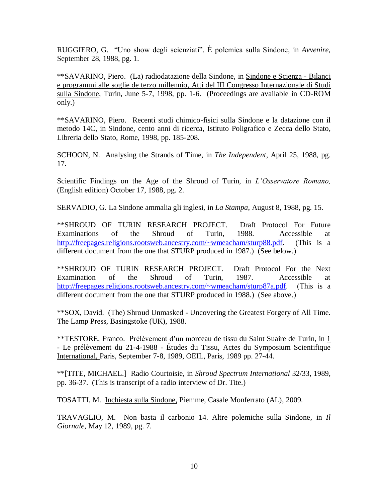RUGGIERO, G. "Uno show degli scienziati". È polemica sulla Sindone, in *Avvenire*, September 28, 1988, pg. 1.

\*\*SAVARINO, Piero. (La) radiodatazione della Sindone, in Sindone e Scienza - Bilanci e programmi alle soglie de terzo millennio, Atti del III Congresso Internazionale di Studi sulla Sindone, Turin, June 5-7, 1998, pp. 1-6. (Proceedings are available in CD-ROM only.)

\*\*SAVARINO, Piero. Recenti studi chimico-fisici sulla Sindone e la datazione con il metodo 14C, in Sindone, cento anni di ricerca, Istituto Poligrafico e Zecca dello Stato, Libreria dello Stato, Rome, 1998, pp. 185-208.

SCHOON, N. Analysing the Strands of Time, in *The Independent*, April 25, 1988, pg. 17.

Scientific Findings on the Age of the Shroud of Turin, in *L'Osservatore Romano,* (English edition) October 17, 1988, pg. 2.

SERVADIO, G. La Sindone ammalia gli inglesi, in *La Stampa*, August 8, 1988, pg. 15.

\*\*SHROUD OF TURIN RESEARCH PROJECT. Draft Protocol For Future Examinations of the Shroud of Turin, 1988. Accessible at [http://freepages.religions.rootsweb.ancestry.com/~wmeacham/sturp88.pdf.](http://freepages.religions.rootsweb.ancestry.com/~wmeacham/sturp88.pdf) (This is a different document from the one that STURP produced in 1987.) (See below.)

\*\*SHROUD OF TURIN RESEARCH PROJECT. Draft Protocol For the Next Examination of the Shroud of Turin, 1987. Accessible at [http://freepages.religions.rootsweb.ancestry.com/~wmeacham/sturp87a.pdf.](http://freepages.religions.rootsweb.ancestry.com/~wmeacham/sturp87a.pdf) (This is a different document from the one that STURP produced in 1988.) (See above.)

\*\*SOX, David. (The) Shroud Unmasked - Uncovering the Greatest Forgery of All Time. The Lamp Press, Basingstoke (UK), 1988.

\*\*TESTORE, Franco. Prélèvement d'un morceau de tissu du Saint Suaire de Turin, in 1 - Le prélèvement du 21-4-1988 - Études du Tissu, Actes du Symposium Scientifique International, Paris, September 7-8, 1989, OEIL, Paris, 1989 pp. 27-44.

\*\*[TITE, MICHAEL.] Radio Courtoisie, in *Shroud Spectrum International* 32/33, 1989, pp. 36-37. (This is transcript of a radio interview of Dr. Tite.)

TOSATTI, M. Inchiesta sulla Sindone, Piemme, Casale Monferrato (AL), 2009.

TRAVAGLIO, M. Non basta il carbonio 14. Altre polemiche sulla Sindone, in *Il Giornale*, May 12, 1989, pg. 7.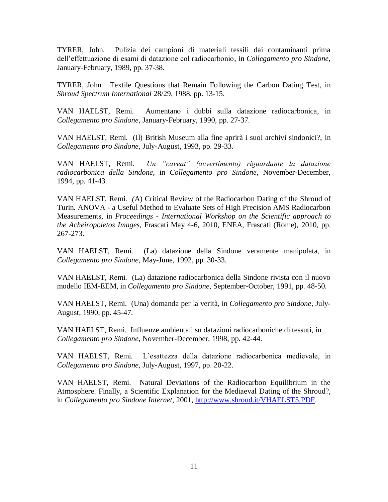TYRER, John. Pulizia dei campioni di materiali tessili dai contaminanti prima dell'effettuazione di esami di datazione col radiocarbonio, in *Collegamento pro Sindone*, January-February, 1989, pp. 37-38.

TYRER, John. Textile Questions that Remain Following the Carbon Dating Test, in *Shroud Spectrum International* 28/29, 1988, pp. 13-15.

VAN HAELST, Remi. Aumentano i dubbi sulla datazione radiocarbonica, in *Collegamento pro Sindone*, January-February, 1990, pp. 27-37.

VAN HAELST, Remi. (Il) British Museum alla fine aprirà i suoi archivi sindonici?, in *Collegamento pro Sindone*, July-August, 1993, pp. 29-33.

VAN HAELST, Remi. *Un "caveat" (avvertimento) riguardante la datazione radiocarbonica della Sindone*, in *Collegamento pro Sindone*, November-December, 1994, pp. 41-43.

VAN HAELST, Remi. *(*A) Critical Review of the Radiocarbon Dating of the Shroud of Turin. ANOVA - a Useful Method to Evaluate Sets of High Precision AMS Radiocarbon Measurements, in *Proceedings - International Workshop on the Scientific approach to the Acheiropoietos Images*, Frascati May 4-6, 2010, ENEA, Frascati (Rome), 2010, pp. 267-273.

VAN HAELST, Remi. (La) datazione della Sindone veramente manipolata, in *Collegamento pro Sindone*, May-June, 1992, pp. 30-33.

VAN HAELST, Remi. (La) datazione radiocarbonica della Sindone rivista con il nuovo modello IEM-EEM, in *Collegamento pro Sindone*, September-October, 1991, pp. 48-50.

VAN HAELST, Remi. (Una) domanda per la verità, in *Collegamento pro Sindone*, July-August, 1990, pp. 45-47.

VAN HAELST, Remi. Influenze ambientali su datazioni radiocarboniche di tessuti, in *Collegamento pro Sindone*, November-December, 1998, pp. 42-44.

VAN HAELST, Remi. L'esattezza della datazione radiocarbonica medievale, in *Collegamento pro Sindone*, July-August, 1997, pp. 20-22.

VAN HAELST, Remi. Natural Deviations of the Radiocarbon Equilibrium in the Atmosphere. Finally, a Scientific Explanation for the Mediaeval Dating of the Shroud?, in *Collegamento pro Sindone Internet*, 2001, [http://www.shroud.it/VHAELST5.PDF.](http://www.shroud.it/VHAELST5.PDF)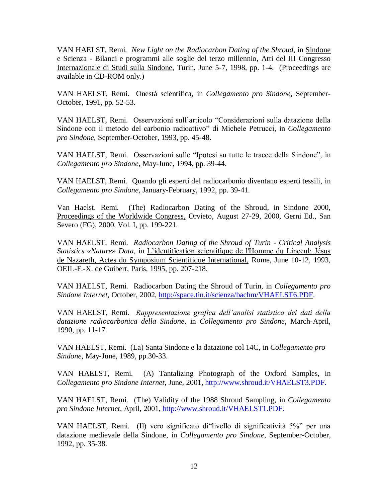VAN HAELST, Remi. *New Light on the Radiocarbon Dating of the Shroud*, in Sindone e Scienza - Bilanci e programmi alle soglie del terzo millennio, Atti del III Congresso Internazionale di Studi sulla Sindone, Turin, June 5-7, 1998, pp. 1-4. (Proceedings are available in CD-ROM only.)

VAN HAELST, Remi. Onestà scientifica, in *Collegamento pro Sindone,* September-October, 1991, pp. 52-53.

VAN HAELST, Remi. Osservazioni sull'articolo "Considerazioni sulla datazione della Sindone con il metodo del carbonio radioattivo" di Michele Petrucci, in *Collegamento pro Sindone,* September-October, 1993, pp. 45-48.

VAN HAELST, Remi. Osservazioni sulle "Ipotesi su tutte le tracce della Sindone", in *Collegamento pro Sindone*, May-June, 1994, pp. 39-44.

VAN HAELST, Remi. Quando gli esperti del radiocarbonio diventano esperti tessili, in *Collegamento pro Sindone*, January-February, 1992, pp. 39-41.

Van Haelst. Remi. (The) Radiocarbon Dating of the Shroud, in Sindone 2000, Proceedings of the Worldwide Congress, Orvieto, August 27-29, 2000, Gerni Ed., San Severo (FG), 2000, Vol. I, pp. 199-221.

VAN HAELST, Remi. *Radiocarbon Dating of the Shroud of Turin* - *Critical Analysis Statistics «Nature» Data*, in L'identification scientifique de l'Homme du Linceul: Jésus de Nazareth, Actes du Symposium Scientifique International, Rome, June 10-12, 1993, OEIL-F.-X. de Guibert, Paris, 1995, pp. 207-218.

VAN HAELST, Remi. Radiocarbon Dating the Shroud of Turin, in *Collegamento pro Sindone Internet*, October, 2002, [http://space.tin.it/scienza/bachm/VHAELST6.PDF.](http://space.tin.it/scienza/bachm/VHAELST6.PDF)

VAN HAELST, Remi. *Rappresentazione grafica dell'analisi statistica dei dati della datazione radiocarbonica della Sindone*, in *Collegamento pro Sindone*, March-April, 1990, pp. 11-17.

VAN HAELST, Remi. (La) Santa Sindone e la datazione col 14C, in *Collegamento pro Sindone*, May-June, 1989, pp.30-33.

VAN HAELST, Remi. (A) Tantalizing Photograph of the Oxford Samples, in *Collegamento pro Sindone Internet*, June, 2001, http://www.shroud.it/VHAELST3.PDF.

VAN HAELST, Remi. (The) Validity of the 1988 Shroud Sampling, in *Collegamento pro Sindone Internet*, April, 2001, [http://www.shroud.it/VHAELST1.PDF.](http://www.shroud.it/VHAELST1.PDF)

VAN HAELST, Remi. (Il) vero significato di"livello di significatività 5%" per una datazione medievale della Sindone, in *Collegamento pro Sindone*, September-October, 1992, pp. 35-38.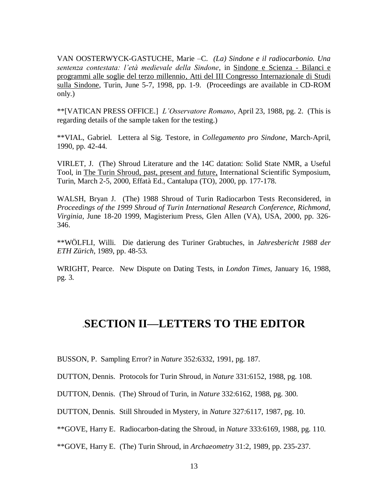VAN OOSTERWYCK-GASTUCHE, Marie –C. *(La) Sindone e il radiocarbonio. Una sentenza contestata: l'età medievale della Sindone,* in Sindone e Scienza - Bilanci e programmi alle soglie del terzo millennio, Atti del III Congresso Internazionale di Studi sulla Sindone, Turin, June 5-7, 1998, pp. 1-9. (Proceedings are available in CD-ROM only.)

\*\*[VATICAN PRESS OFFICE.] *L'Osservatore Romano*, April 23, 1988, pg. 2. (This is regarding details of the sample taken for the testing.)

\*\*VIAL, Gabriel. Lettera al Sig. Testore, in *Collegamento pro Sindone*, March-April, 1990, pp. 42-44.

VIRLET, J. (The) Shroud Literature and the 14C datation: Solid State NMR, a Useful Tool, in The Turin Shroud, past, present and future, International Scientific Symposium, Turin, March 2-5, 2000, Effatà Ed., Cantalupa (TO), 2000, pp. 177-178.

WALSH, Bryan J. (The) 1988 Shroud of Turin Radiocarbon Tests Reconsidered, in *Proceedings of the 1999 Shroud of Turin International Research Conference, Richmond, Virginia*, June 18-20 1999, Magisterium Press, Glen Allen (VA), USA, 2000, pp. 326- 346.

\*\*WÖLFLI, Willi. Die datierung des Turiner Grabtuches, in *Jahresbericht 1988 der ETH Zürich*, 1989, pp. 48-53.

WRIGHT, Pearce. New Dispute on Dating Tests, in *London Times,* January 16, 1988, pg. 3.

## .**SECTION II—LETTERS TO THE EDITOR**

BUSSON, P. Sampling Error? in *Nature* 352:6332, 1991, pg. 187.

DUTTON, Dennis. Protocols for Turin Shroud, in *Nature* 331:6152, 1988, pg. 108.

DUTTON, Dennis. (The) Shroud of Turin, in *Nature* 332:6162, 1988, pg. 300.

DUTTON, Dennis. Still Shrouded in Mystery, in *Nature* 327:6117, 1987, pg. 10.

\*\*GOVE, Harry E. Radiocarbon-dating the Shroud, in *Nature* 333:6169, 1988, pg. 110.

\*\*GOVE, Harry E. (The) Turin Shroud, in *Archaeometry* 31:2, 1989, pp. 235-237.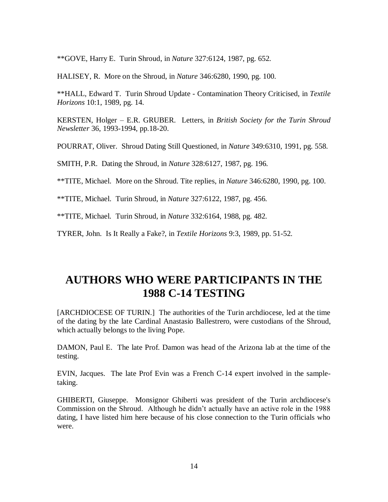\*\*GOVE, Harry E. Turin Shroud, in *Nature* 327:6124, 1987, pg. 652.

HALISEY, R. More on the Shroud, in *Nature* 346:6280, 1990, pg. 100.

\*\*HALL, Edward T. Turin Shroud Update - Contamination Theory Criticised, in *Textile Horizons* 10:1, 1989, pg. 14.

KERSTEN, Holger – E.R. GRUBER. Letters, in *British Society for the Turin Shroud Newsletter* 36, 1993-1994, pp.18-20.

POURRAT, Oliver. Shroud Dating Still Questioned, in *Nature* 349:6310, 1991, pg. 558.

SMITH, P.R. Dating the Shroud, in *Nature* 328:6127, 1987, pg. 196.

\*\*TITE, Michael. More on the Shroud. Tite replies, in *Nature* 346:6280, 1990, pg. 100.

\*\*TITE, Michael. Turin Shroud, in *Nature* 327:6122, 1987, pg. 456.

\*\*TITE, Michael*.* Turin Shroud, in *Nature* 332:6164, 1988, pg. 482.

TYRER, John. Is It Really a Fake?, in *Textile Horizons* 9:3, 1989, pp. 51-52.

# **AUTHORS WHO WERE PARTICIPANTS IN THE 1988 C-14 TESTING**

[ARCHDIOCESE OF TURIN.] The authorities of the Turin archdiocese, led at the time of the dating by the late Cardinal Anastasio Ballestrero, were custodians of the Shroud, which actually belongs to the living Pope.

DAMON, Paul E. The late Prof. Damon was head of the Arizona lab at the time of the testing.

EVIN, Jacques. The late Prof Evin was a French C-14 expert involved in the sampletaking.

GHIBERTI, Giuseppe. Monsignor Ghiberti was president of the Turin archdiocese's Commission on the Shroud. Although he didn't actually have an active role in the 1988 dating, I have listed him here because of his close connection to the Turin officials who were.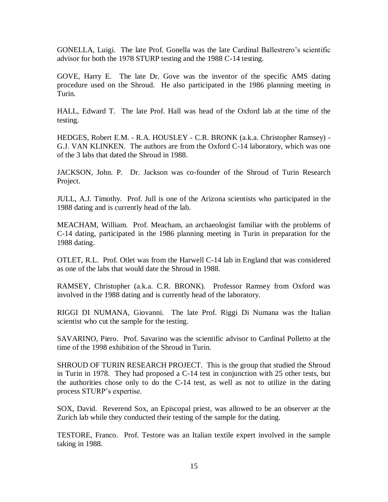GONELLA, Luigi. The late Prof. Gonella was the late Cardinal Ballestrero's scientific advisor for both the 1978 STURP testing and the 1988 C-14 testing.

GOVE, Harry E. The late Dr. Gove was the inventor of the specific AMS dating procedure used on the Shroud. He also participated in the 1986 planning meeting in Turin.

HALL, Edward T. The late Prof. Hall was head of the Oxford lab at the time of the testing.

HEDGES, Robert E.M. - R.A. HOUSLEY - C.R. BRONK (a.k.a. Christopher Ramsey) - G.J. VAN KLINKEN. The authors are from the Oxford C-14 laboratory, which was one of the 3 labs that dated the Shroud in 1988.

JACKSON, John. P. Dr. Jackson was co-founder of the Shroud of Turin Research Project.

JULL, A.J. Timothy. Prof. Jull is one of the Arizona scientists who participated in the 1988 dating and is currently head of the lab.

MEACHAM, William. Prof. Meacham, an archaeologist familiar with the problems of C-14 dating, participated in the 1986 planning meeting in Turin in preparation for the 1988 dating.

OTLET, R.L. Prof. Otlet was from the Harwell C-14 lab in England that was considered as one of the labs that would date the Shroud in 1988.

RAMSEY, Christopher (a.k.a. C.R. BRONK). Professor Ramsey from Oxford was involved in the 1988 dating and is currently head of the laboratory.

RIGGI DI NUMANA, Giovanni. The late Prof. Riggi Di Numana was the Italian scientist who cut the sample for the testing.

SAVARINO, Piero. Prof. Savarino was the scientific advisor to Cardinal Polletto at the time of the 1998 exhibition of the Shroud in Turin.

SHROUD OF TURIN RESEARCH PROJECT. This is the group that studied the Shroud in Turin in 1978. They had proposed a C-14 test in conjunction with 25 other tests, but the authorities chose only to do the C-14 test, as well as not to utilize in the dating process STURP's expertise.

SOX, David. Reverend Sox, an Episcopal priest, was allowed to be an observer at the Zurich lab while they conducted their testing of the sample for the dating.

TESTORE, Franco. Prof. Testore was an Italian textile expert involved in the sample taking in 1988.